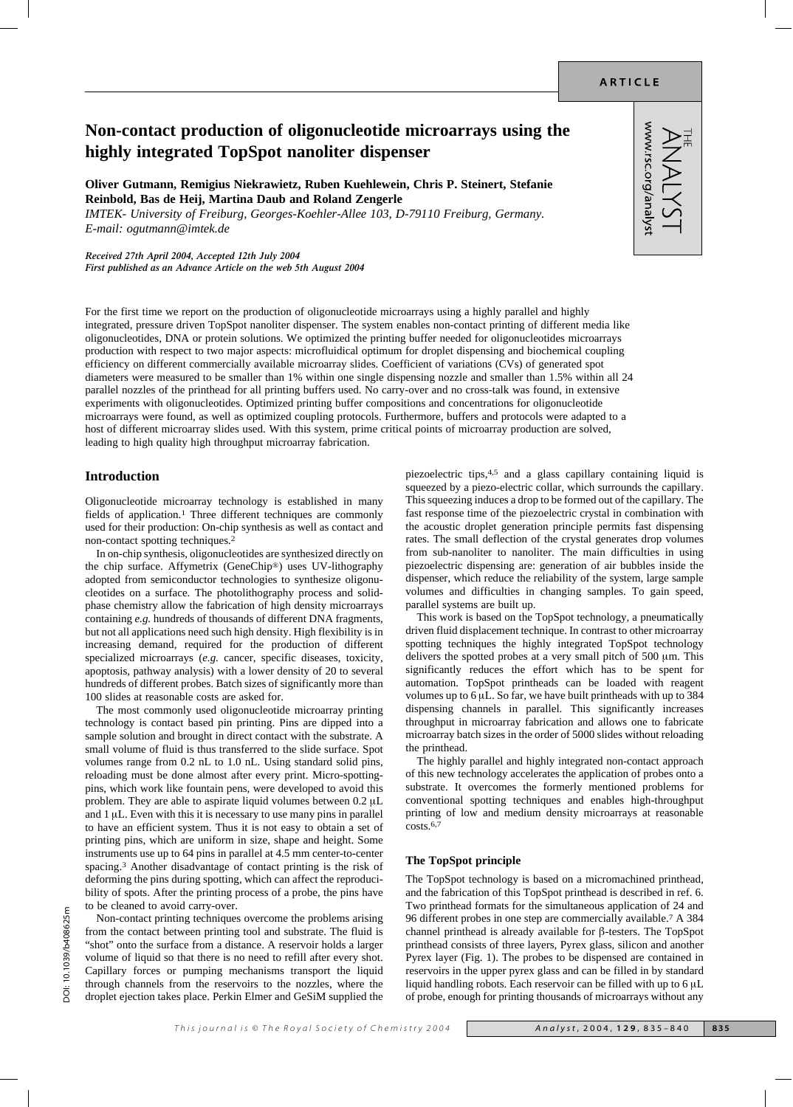www.rsc.org/analys

# **Non-contact production of oligonucleotide microarrays using the highly integrated TopSpot nanoliter dispenser**

**Oliver Gutmann, Remigius Niekrawietz, Ruben Kuehlewein, Chris P. Steinert, Stefanie Reinbold, Bas de Heij, Martina Daub and Roland Zengerle**

*IMTEK- University of Freiburg, Georges-Koehler-Allee 103, D-79110 Freiburg, Germany. E-mail: ogutmann@imtek.de*

*Received 27th April 2004, Accepted 12th July 2004*

*First published as an Advance Article on the web 5th August 2004*

For the first time we report on the production of oligonucleotide microarrays using a highly parallel and highly integrated, pressure driven TopSpot nanoliter dispenser. The system enables non-contact printing of different media like oligonucleotides, DNA or protein solutions. We optimized the printing buffer needed for oligonucleotides microarrays production with respect to two major aspects: microfluidical optimum for droplet dispensing and biochemical coupling efficiency on different commercially available microarray slides. Coefficient of variations (CVs) of generated spot diameters were measured to be smaller than 1% within one single dispensing nozzle and smaller than 1.5% within all 24 parallel nozzles of the printhead for all printing buffers used. No carry-over and no cross-talk was found, in extensive experiments with oligonucleotides. Optimized printing buffer compositions and concentrations for oligonucleotide microarrays were found, as well as optimized coupling protocols. Furthermore, buffers and protocols were adapted to a host of different microarray slides used. With this system, prime critical points of microarray production are solved, leading to high quality high throughput microarray fabrication.

# **Introduction**

Oligonucleotide microarray technology is established in many fields of application.1 Three different techniques are commonly used for their production: On-chip synthesis as well as contact and non-contact spotting techniques.2

In on-chip synthesis, oligonucleotides are synthesized directly on the chip surface. Affymetrix (GeneChip®) uses UV-lithography adopted from semiconductor technologies to synthesize oligonucleotides on a surface. The photolithography process and solidphase chemistry allow the fabrication of high density microarrays containing *e.g.* hundreds of thousands of different DNA fragments, but not all applications need such high density. High flexibility is in increasing demand, required for the production of different specialized microarrays (*e.g.* cancer, specific diseases, toxicity, apoptosis, pathway analysis) with a lower density of 20 to several hundreds of different probes. Batch sizes of significantly more than 100 slides at reasonable costs are asked for.

The most commonly used oligonucleotide microarray printing technology is contact based pin printing. Pins are dipped into a sample solution and brought in direct contact with the substrate. A small volume of fluid is thus transferred to the slide surface. Spot volumes range from 0.2 nL to 1.0 nL. Using standard solid pins, reloading must be done almost after every print. Micro-spottingpins, which work like fountain pens, were developed to avoid this problem. They are able to aspirate liquid volumes between  $0.2 \mu L$ and  $1 \mu L$ . Even with this it is necessary to use many pins in parallel to have an efficient system. Thus it is not easy to obtain a set of printing pins, which are uniform in size, shape and height. Some instruments use up to 64 pins in parallel at 4.5 mm center-to-center spacing.3 Another disadvantage of contact printing is the risk of deforming the pins during spotting, which can affect the reproducibility of spots. After the printing process of a probe, the pins have to be cleaned to avoid carry-over.

Non-contact printing techniques overcome the problems arising from the contact between printing tool and substrate. The fluid is "shot" onto the surface from a distance. A reservoir holds a larger volume of liquid so that there is no need to refill after every shot. Capillary forces or pumping mechanisms transport the liquid through channels from the reservoirs to the nozzles, where the droplet ejection takes place. Perkin Elmer and GeSiM supplied the piezoelectric tips,4,5 and a glass capillary containing liquid is squeezed by a piezo-electric collar, which surrounds the capillary. This squeezing induces a drop to be formed out of the capillary. The fast response time of the piezoelectric crystal in combination with the acoustic droplet generation principle permits fast dispensing rates. The small deflection of the crystal generates drop volumes from sub-nanoliter to nanoliter. The main difficulties in using piezoelectric dispensing are: generation of air bubbles inside the dispenser, which reduce the reliability of the system, large sample volumes and difficulties in changing samples. To gain speed, parallel systems are built up.

This work is based on the TopSpot technology, a pneumatically driven fluid displacement technique. In contrast to other microarray spotting techniques the highly integrated TopSpot technology delivers the spotted probes at a very small pitch of 500  $\mu$ m. This significantly reduces the effort which has to be spent for automation. TopSpot printheads can be loaded with reagent volumes up to  $6 \mu L$ . So far, we have built printheads with up to 384 dispensing channels in parallel. This significantly increases throughput in microarray fabrication and allows one to fabricate microarray batch sizes in the order of 5000 slides without reloading the printhead.

The highly parallel and highly integrated non-contact approach of this new technology accelerates the application of probes onto a substrate. It overcomes the formerly mentioned problems for conventional spotting techniques and enables high-throughput printing of low and medium density microarrays at reasonable costs.6,7

#### **The TopSpot principle**

The TopSpot technology is based on a micromachined printhead, and the fabrication of this TopSpot printhead is described in ref. 6. Two printhead formats for the simultaneous application of 24 and 96 different probes in one step are commercially available.7 A 384 channel printhead is already available for  $\beta$ -testers. The TopSpot printhead consists of three layers, Pyrex glass, silicon and another Pyrex layer (Fig. 1). The probes to be dispensed are contained in reservoirs in the upper pyrex glass and can be filled in by standard liquid handling robots. Each reservoir can be filled with up to  $6 \mu L$ of probe, enough for printing thousands of microarrays without any

DOI: 10.1039/b408625m

OC: 10.1039/b408625m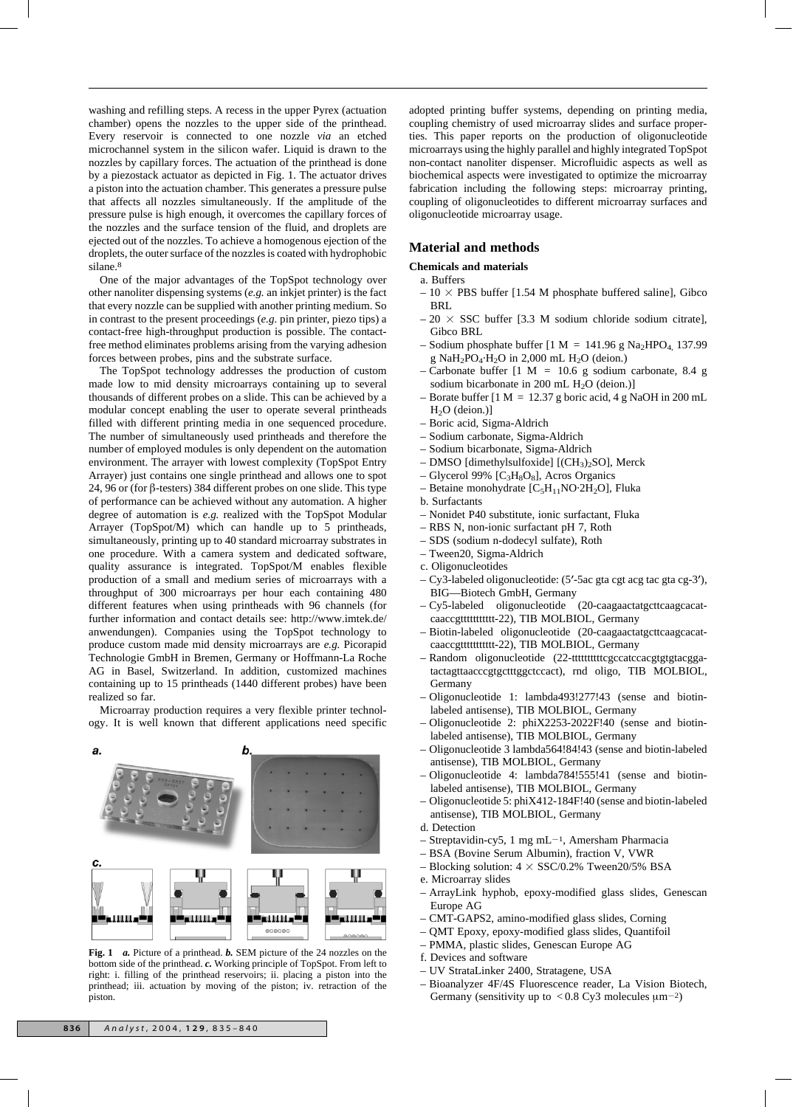washing and refilling steps. A recess in the upper Pyrex (actuation chamber) opens the nozzles to the upper side of the printhead. Every reservoir is connected to one nozzle *via* an etched microchannel system in the silicon wafer. Liquid is drawn to the nozzles by capillary forces. The actuation of the printhead is done by a piezostack actuator as depicted in Fig. 1. The actuator drives a piston into the actuation chamber. This generates a pressure pulse that affects all nozzles simultaneously. If the amplitude of the pressure pulse is high enough, it overcomes the capillary forces of the nozzles and the surface tension of the fluid, and droplets are ejected out of the nozzles. To achieve a homogenous ejection of the droplets, the outer surface of the nozzles is coated with hydrophobic silane.8

One of the major advantages of the TopSpot technology over other nanoliter dispensing systems (*e.g.* an inkjet printer) is the fact that every nozzle can be supplied with another printing medium. So in contrast to the present proceedings (*e.g.* pin printer, piezo tips) a contact-free high-throughput production is possible. The contactfree method eliminates problems arising from the varying adhesion forces between probes, pins and the substrate surface.

The TopSpot technology addresses the production of custom made low to mid density microarrays containing up to several thousands of different probes on a slide. This can be achieved by a modular concept enabling the user to operate several printheads filled with different printing media in one sequenced procedure. The number of simultaneously used printheads and therefore the number of employed modules is only dependent on the automation environment. The arrayer with lowest complexity (TopSpot Entry Arrayer) just contains one single printhead and allows one to spot 24, 96 or (for  $\beta$ -testers) 384 different probes on one slide. This type of performance can be achieved without any automation. A higher degree of automation is *e.g.* realized with the TopSpot Modular Arrayer (TopSpot/M) which can handle up to 5 printheads, simultaneously, printing up to 40 standard microarray substrates in one procedure. With a camera system and dedicated software, quality assurance is integrated. TopSpot/M enables flexible production of a small and medium series of microarrays with a throughput of 300 microarrays per hour each containing 480 different features when using printheads with 96 channels (for further information and contact details see: http://www.imtek.de/ anwendungen). Companies using the TopSpot technology to produce custom made mid density microarrays are *e.g.* Picorapid Technologie GmbH in Bremen, Germany or Hoffmann-La Roche AG in Basel, Switzerland. In addition, customized machines containing up to 15 printheads (1440 different probes) have been realized so far.

Microarray production requires a very flexible printer technology. It is well known that different applications need specific



**Fig. 1** *a.* Picture of a printhead. *b.* SEM picture of the 24 nozzles on the bottom side of the printhead. *c.* Working principle of TopSpot. From left to right: i. filling of the printhead reservoirs; ii. placing a piston into the printhead; iii. actuation by moving of the piston; iv. retraction of the piston.

adopted printing buffer systems, depending on printing media, coupling chemistry of used microarray slides and surface properties. This paper reports on the production of oligonucleotide microarrays using the highly parallel and highly integrated TopSpot non-contact nanoliter dispenser. Microfluidic aspects as well as biochemical aspects were investigated to optimize the microarray fabrication including the following steps: microarray printing, coupling of oligonucleotides to different microarray surfaces and oligonucleotide microarray usage.

#### **Material and methods**

**Chemicals and materials**

- a. Buffers
- $-10 \times$  PBS buffer [1.54 M phosphate buffered saline], Gibco BRL
- $-20 \times SSC$  buffer [3.3 M sodium chloride sodium citrate], Gibco BRL
- Sodium phosphate buffer  $[1 M = 141.96 g Na<sub>2</sub>HPO<sub>4</sub>, 137.99$ g NaH<sub>2</sub>PO<sub>4</sub>·H<sub>2</sub>O in 2,000 mL H<sub>2</sub>O (deion.)
- Carbonate buffer  $[1 \t M = 10.6 \t g$  sodium carbonate, 8.4 g sodium bicarbonate in 200 mL  $H<sub>2</sub>O$  (deion.)]
- Borate buffer  $[1 M = 12.37 g$  boric acid, 4 g NaOH in 200 mL H<sub>2</sub>O (deion.)]
- Boric acid, Sigma-Aldrich
- Sodium carbonate, Sigma-Aldrich
- Sodium bicarbonate, Sigma-Aldrich
- DMSO [dimethylsulfoxide] [(CH3)2SO], Merck
- Glycerol 99%  $[C_3H_8O_8]$ , Acros Organics
- Betaine monohydrate  $[C_5H_{11}NO·2H_2O]$ , Fluka
- b. Surfactants
- Nonidet P40 substitute, ionic surfactant, Fluka
- RBS N, non-ionic surfactant pH 7, Roth
- SDS (sodium n-dodecyl sulfate), Roth
- Tween20, Sigma-Aldrich
- c. Oligonucleotides
- $Cy3$ -labeled oligonucleotide: (5'-5ac gta cgt acg tac gta cg-3'), BIG—Biotech GmbH, Germany
- Cy5-labeled oligonucleotide (20-caagaactatgcttcaagcacatcaaccgttttttttttt-22), TIB MOLBIOL, Germany
- Biotin-labeled oligonucleotide (20-caagaactatgcttcaagcacatcaaccgttttttttttt-22), TIB MOLBIOL, Germany
- Random oligonucleotide (22-tttttttttttttttttttttttttttttegccatccacgtgtgtacggatactagttaacccgtgctttggctccact), rnd oligo, TIB MOLBIOL, Germany
- Oligonucleotide 1: lambda493!277!43 (sense and biotinlabeled antisense), TIB MOLBIOL, Germany
- Oligonucleotide 2: phiX2253-2022F!40 (sense and biotinlabeled antisense), TIB MOLBIOL, Germany
- Oligonucleotide 3 lambda564!84!43 (sense and biotin-labeled antisense), TIB MOLBIOL, Germany
- Oligonucleotide 4: lambda784!555!41 (sense and biotinlabeled antisense), TIB MOLBIOL, Germany
- Oligonucleotide 5: phiX412-184F!40 (sense and biotin-labeled antisense), TIB MOLBIOL, Germany
- d. Detection
- Streptavidin-cy5, 1 mg mL<sup>-1</sup>, Amersham Pharmacia
- BSA (Bovine Serum Albumin), fraction V, VWR
- Blocking solution:  $4 \times$  SSC/0.2% Tween20/5% BSA
- e. Microarray slides
- ArrayLink hyphob, epoxy-modified glass slides, Genescan Europe AG
- CMT-GAPS2, amino-modified glass slides, Corning
- QMT Epoxy, epoxy-modified glass slides, Quantifoil
- PMMA, plastic slides, Genescan Europe AG
- f. Devices and software
- UV StrataLinker 2400, Stratagene, USA
- Bioanalyzer 4F/4S Fluorescence reader, La Vision Biotech, Germany (sensitivity up to  $< 0.8$  Cy3 molecules  $\mu$ m<sup>-2</sup>)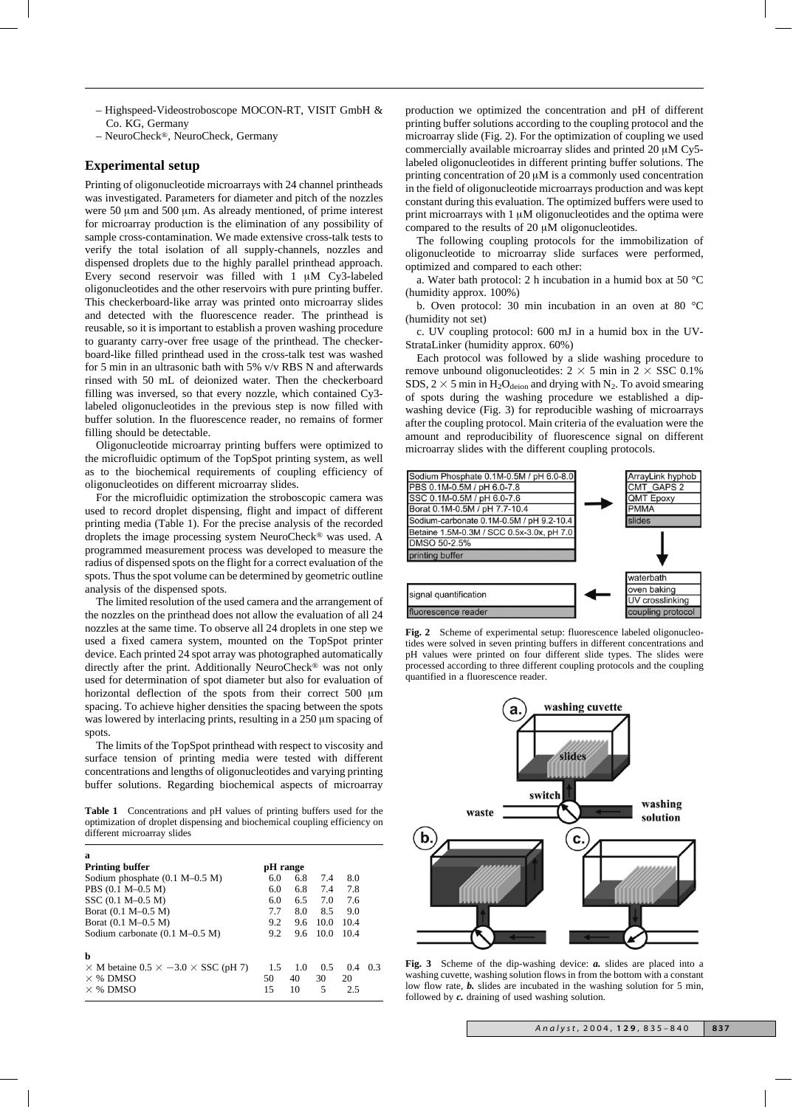- Highspeed-Videostroboscope MOCON-RT, VISIT GmbH & Co. KG, Germany
- NeuroCheck®, NeuroCheck, Germany

## **Experimental setup**

Printing of oligonucleotide microarrays with 24 channel printheads was investigated. Parameters for diameter and pitch of the nozzles were 50  $\mu$ m and 500  $\mu$ m. As already mentioned, of prime interest for microarray production is the elimination of any possibility of sample cross-contamination. We made extensive cross-talk tests to verify the total isolation of all supply-channels, nozzles and dispensed droplets due to the highly parallel printhead approach. Every second reservoir was filled with  $1 \mu M$  Cy3-labeled oligonucleotides and the other reservoirs with pure printing buffer. This checkerboard-like array was printed onto microarray slides and detected with the fluorescence reader. The printhead is reusable, so it is important to establish a proven washing procedure to guaranty carry-over free usage of the printhead. The checkerboard-like filled printhead used in the cross-talk test was washed for 5 min in an ultrasonic bath with 5% v/v RBS N and afterwards rinsed with 50 mL of deionized water. Then the checkerboard filling was inversed, so that every nozzle, which contained Cy3 labeled oligonucleotides in the previous step is now filled with buffer solution. In the fluorescence reader, no remains of former filling should be detectable.

Oligonucleotide microarray printing buffers were optimized to the microfluidic optimum of the TopSpot printing system, as well as to the biochemical requirements of coupling efficiency of oligonucleotides on different microarray slides.

For the microfluidic optimization the stroboscopic camera was used to record droplet dispensing, flight and impact of different printing media (Table 1). For the precise analysis of the recorded droplets the image processing system NeuroCheck® was used. A programmed measurement process was developed to measure the radius of dispensed spots on the flight for a correct evaluation of the spots. Thus the spot volume can be determined by geometric outline analysis of the dispensed spots.

The limited resolution of the used camera and the arrangement of the nozzles on the printhead does not allow the evaluation of all 24 nozzles at the same time. To observe all 24 droplets in one step we used a fixed camera system, mounted on the TopSpot printer device. Each printed 24 spot array was photographed automatically directly after the print. Additionally NeuroCheck® was not only used for determination of spot diameter but also for evaluation of horizontal deflection of the spots from their correct 500 µm spacing. To achieve higher densities the spacing between the spots was lowered by interlacing prints, resulting in a  $250 \mu m$  spacing of spots.

The limits of the TopSpot printhead with respect to viscosity and surface tension of printing media were tested with different concentrations and lengths of oligonucleotides and varying printing buffer solutions. Regarding biochemical aspects of microarray

**Table 1** Concentrations and pH values of printing buffers used for the optimization of droplet dispensing and biochemical coupling efficiency on different microarray slides

| a                                                                                                   |                 |                 |                |                  |    |
|-----------------------------------------------------------------------------------------------------|-----------------|-----------------|----------------|------------------|----|
| <b>Printing buffer</b>                                                                              | pH range        |                 |                |                  |    |
| Sodium phosphate $(0.1 M-0.5 M)$                                                                    | 6.0             | 6.8             | 7.4            | 8.0              |    |
| PBS (0.1 M-0.5 M)                                                                                   | 6.0             | 6.8             | 7.4            | 7.8              |    |
| SSC (0.1 M-0.5 M)                                                                                   | 6.0             | 6.5             | 7.0            | 7.6              |    |
| Borat (0.1 M-0.5 M)                                                                                 | 7.7             | 8.0             | 8.5            | 9.0              |    |
| Borat (0.1 M-0.5 M)                                                                                 | 9.2             | 9.6             | 10.0           | 10.4             |    |
| Sodium carbonate $(0.1 M-0.5 M)$                                                                    | 9.2             | 9.6             | 10.0           | 10.4             |    |
| b<br>$\times$ M betaine 0.5 $\times$ -3.0 $\times$ SSC (pH 7)<br>$\times$ % DMSO<br>$\times$ % DMSO | 1.5<br>50<br>15 | 1.0<br>40<br>10 | 0.5<br>30<br>5 | 0.4<br>20<br>2.5 | 03 |

production we optimized the concentration and pH of different printing buffer solutions according to the coupling protocol and the microarray slide (Fig. 2). For the optimization of coupling we used commercially available microarray slides and printed 20 µM Cy5labeled oligonucleotides in different printing buffer solutions. The printing concentration of  $20 \mu M$  is a commonly used concentration in the field of oligonucleotide microarrays production and was kept constant during this evaluation. The optimized buffers were used to print microarrays with  $1 \mu M$  oligonucleotides and the optima were compared to the results of  $20 \mu M$  oligonucleotides.

The following coupling protocols for the immobilization of oligonucleotide to microarray slide surfaces were performed, optimized and compared to each other:

a. Water bath protocol: 2 h incubation in a humid box at 50 °C (humidity approx. 100%)

b. Oven protocol: 30 min incubation in an oven at 80 °C (humidity not set)

c. UV coupling protocol: 600 mJ in a humid box in the UV-StrataLinker (humidity approx. 60%)

Each protocol was followed by a slide washing procedure to remove unbound oligonucleotides:  $2 \times 5$  min in  $2 \times SSC$  0.1% SDS,  $2 \times 5$  min in H<sub>2</sub>O<sub>deion</sub> and drying with N<sub>2</sub>. To avoid smearing of spots during the washing procedure we established a dipwashing device (Fig. 3) for reproducible washing of microarrays after the coupling protocol. Main criteria of the evaluation were the amount and reproducibility of fluorescence signal on different microarray slides with the different coupling protocols.



Fig. 2 Scheme of experimental setup: fluorescence labeled oligonucleotides were solved in seven printing buffers in different concentrations and pH values were printed on four different slide types. The slides were processed according to three different coupling protocols and the coupling quantified in a fluorescence reader.



**Fig. 3** Scheme of the dip-washing device: *a.* slides are placed into a washing cuvette, washing solution flows in from the bottom with a constant low flow rate, **b.** slides are incubated in the washing solution for 5 min, followed by *c.* draining of used washing solution.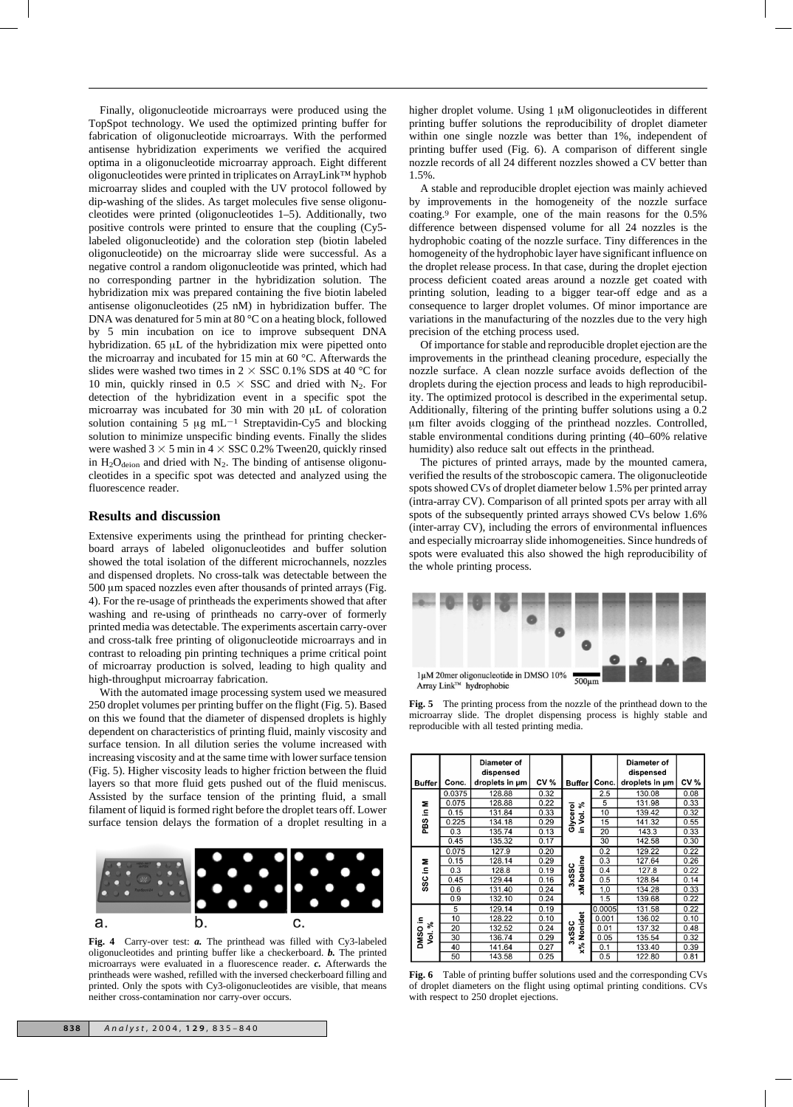Finally, oligonucleotide microarrays were produced using the TopSpot technology. We used the optimized printing buffer for fabrication of oligonucleotide microarrays. With the performed antisense hybridization experiments we verified the acquired optima in a oligonucleotide microarray approach. Eight different oligonucleotides were printed in triplicates on ArrayLink™ hyphob microarray slides and coupled with the UV protocol followed by dip-washing of the slides. As target molecules five sense oligonucleotides were printed (oligonucleotides 1–5). Additionally, two positive controls were printed to ensure that the coupling (Cy5 labeled oligonucleotide) and the coloration step (biotin labeled oligonucleotide) on the microarray slide were successful. As a negative control a random oligonucleotide was printed, which had no corresponding partner in the hybridization solution. The hybridization mix was prepared containing the five biotin labeled antisense oligonucleotides (25 nM) in hybridization buffer. The DNA was denatured for 5 min at 80 °C on a heating block, followed by 5 min incubation on ice to improve subsequent DNA hybridization. 65 µL of the hybridization mix were pipetted onto the microarray and incubated for 15 min at 60 °C. Afterwards the slides were washed two times in  $2 \times$  SSC 0.1% SDS at 40 °C for 10 min, quickly rinsed in 0.5  $\times$  SSC and dried with N<sub>2</sub>. For detection of the hybridization event in a specific spot the microarray was incubated for 30 min with 20  $\mu$ L of coloration solution containing 5  $\mu$ g mL<sup>-1</sup> Streptavidin-Cy5 and blocking solution to minimize unspecific binding events. Finally the slides were washed  $3 \times 5$  min in  $4 \times$  SSC 0.2% Tween20, quickly rinsed in  $H_2O_{\text{deion}}$  and dried with  $N_2$ . The binding of antisense oligonucleotides in a specific spot was detected and analyzed using the fluorescence reader.

## **Results and discussion**

Extensive experiments using the printhead for printing checkerboard arrays of labeled oligonucleotides and buffer solution showed the total isolation of the different microchannels, nozzles and dispensed droplets. No cross-talk was detectable between the 500 µm spaced nozzles even after thousands of printed arrays (Fig. 4). For the re-usage of printheads the experiments showed that after washing and re-using of printheads no carry-over of formerly printed media was detectable. The experiments ascertain carry-over and cross-talk free printing of oligonucleotide microarrays and in contrast to reloading pin printing techniques a prime critical point of microarray production is solved, leading to high quality and high-throughput microarray fabrication.

With the automated image processing system used we measured 250 droplet volumes per printing buffer on the flight (Fig. 5). Based on this we found that the diameter of dispensed droplets is highly dependent on characteristics of printing fluid, mainly viscosity and surface tension. In all dilution series the volume increased with increasing viscosity and at the same time with lower surface tension (Fig. 5). Higher viscosity leads to higher friction between the fluid layers so that more fluid gets pushed out of the fluid meniscus. Assisted by the surface tension of the printing fluid, a small filament of liquid is formed right before the droplet tears off. Lower surface tension delays the formation of a droplet resulting in a



**Fig. 4** Carry-over test: *a.* The printhead was filled with Cy3-labeled oligonucleotides and printing buffer like a checkerboard. *b.* The printed microarrays were evaluated in a fluorescence reader. *c.* Afterwards the printheads were washed, refilled with the inversed checkerboard filling and printed. Only the spots with Cy3-oligonucleotides are visible, that means neither cross-contamination nor carry-over occurs.

higher droplet volume. Using  $1 \mu M$  oligonucleotides in different printing buffer solutions the reproducibility of droplet diameter within one single nozzle was better than 1%, independent of printing buffer used (Fig. 6). A comparison of different single nozzle records of all 24 different nozzles showed a CV better than 1.5%.

A stable and reproducible droplet ejection was mainly achieved by improvements in the homogeneity of the nozzle surface coating.9 For example, one of the main reasons for the 0.5% difference between dispensed volume for all 24 nozzles is the hydrophobic coating of the nozzle surface. Tiny differences in the homogeneity of the hydrophobic layer have significant influence on the droplet release process. In that case, during the droplet ejection process deficient coated areas around a nozzle get coated with printing solution, leading to a bigger tear-off edge and as a consequence to larger droplet volumes. Of minor importance are variations in the manufacturing of the nozzles due to the very high precision of the etching process used.

Of importance for stable and reproducible droplet ejection are the improvements in the printhead cleaning procedure, especially the nozzle surface. A clean nozzle surface avoids deflection of the droplets during the ejection process and leads to high reproducibility. The optimized protocol is described in the experimental setup. Additionally, filtering of the printing buffer solutions using a 0.2 mm filter avoids clogging of the printhead nozzles. Controlled, stable environmental conditions during printing (40–60% relative humidity) also reduce salt out effects in the printhead.

The pictures of printed arrays, made by the mounted camera, verified the results of the stroboscopic camera. The oligonucleotide spots showed CVs of droplet diameter below 1.5% per printed array (intra-array CV). Comparison of all printed spots per array with all spots of the subsequently printed arrays showed CVs below 1.6% (inter-array CV), including the errors of environmental influences and especially microarray slide inhomogeneities. Since hundreds of spots were evaluated this also showed the high reproducibility of the whole printing process.



**Fig. 5** The printing process from the nozzle of the printhead down to the microarray slide. The droplet dispensing process is highly stable and reproducible with all tested printing media.

| <b>Buffer</b>                | Conc.  | Diameter of<br>dispensed<br>droplets in um | <b>CV %</b> | <b>Buffer</b>    | Conc.  | Diameter of<br>dispensed<br>droplets in um | CV % |
|------------------------------|--------|--------------------------------------------|-------------|------------------|--------|--------------------------------------------|------|
| Σ<br>PBS in I                | 0.0375 | 128.88                                     | 0.32        |                  | 2.5    | 130.08                                     | 0.08 |
|                              | 0.075  | 128.88                                     | 0.22        | వి               | 5      | 131.98                                     | 0.33 |
|                              | 0.15   | 131.84                                     | 0.33        | Š.               | 10     | 139.42                                     | 0.32 |
|                              | 0.225  | 134.18                                     | 0.29        | Glycerol         | 15     | 141.32                                     | 0.55 |
|                              | 0.3    | 135.74                                     | 0.13        | Ξ.               | 20     | 143.3                                      | 0.33 |
|                              | 0.45   | 135.32                                     | 0.17        |                  | 30     | 142.58                                     | 0.30 |
| SSC in M                     | 0.075  | 127.9                                      | 0.20        | betaine<br>3xSSC | 0.2    | 129.22                                     | 0.22 |
|                              | 0.15   | 128.14                                     | 0.29        |                  | 0.3    | 127.64                                     | 0.26 |
|                              | 0.3    | 128.8                                      | 0.19        |                  | 0.4    | 127.8                                      | 0.22 |
|                              | 0.45   | 129.44                                     | 0.16        |                  | 0.5    | 128.84                                     | 0.14 |
|                              | 0.6    | 131.40                                     | 0.24        | ž                | 1.0    | 134.28                                     | 0.33 |
|                              | 0.9    | 132.10                                     | 0.24        |                  | 1.5    | 139.68                                     | 0.22 |
| ءِ<br>వి<br><b>DMSO</b><br>ġ | 5      | 129.14                                     | 0.19        |                  | 0.0005 | 131.58                                     | 0.22 |
|                              | 10     | 128.22                                     | 0.10        |                  | 0.001  | 136.02                                     | 0.10 |
|                              | 20     | 132.52                                     | 0.24        | Nonidet          | 0.01   | 137.32                                     | 0.48 |
|                              | 30     | 136.74                                     | 0.29        | 3xSSC            | 0.05   | 135.54                                     | 0.32 |
|                              | 40     | 141.64                                     | 0.27        | $\times\%$       | 0.1    | 133.40                                     | 0.39 |
|                              | 50     | 143.58                                     | 0.25        |                  | 0.5    | 122.80                                     | 0.81 |

**Fig. 6** Table of printing buffer solutions used and the corresponding CVs of droplet diameters on the flight using optimal printing conditions. CVs with respect to 250 droplet ejections.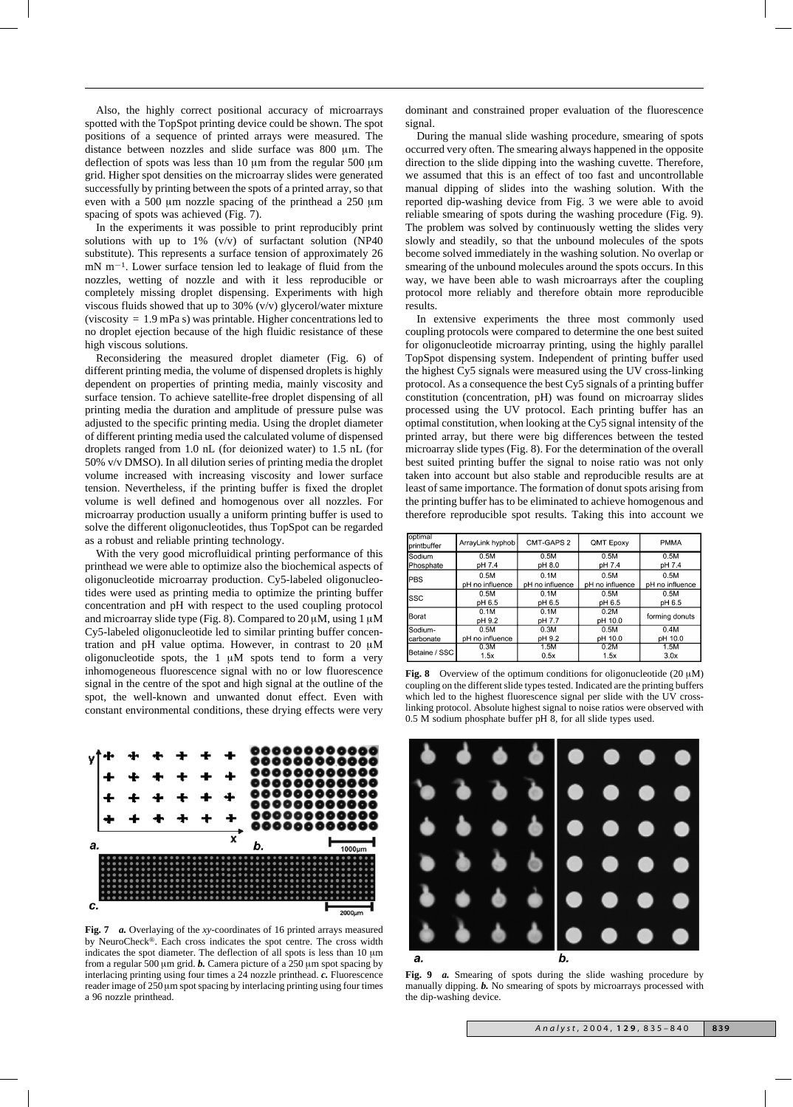Also, the highly correct positional accuracy of microarrays spotted with the TopSpot printing device could be shown. The spot positions of a sequence of printed arrays were measured. The distance between nozzles and slide surface was 800 µm. The deflection of spots was less than  $10 \mu m$  from the regular  $500 \mu m$ grid. Higher spot densities on the microarray slides were generated successfully by printing between the spots of a printed array, so that even with a 500  $\mu$ m nozzle spacing of the printhead a 250  $\mu$ m spacing of spots was achieved (Fig. 7).

In the experiments it was possible to print reproducibly print solutions with up to 1% (v/v) of surfactant solution (NP40) substitute). This represents a surface tension of approximately 26  $mN$  m<sup>-1</sup>. Lower surface tension led to leakage of fluid from the nozzles, wetting of nozzle and with it less reproducible or completely missing droplet dispensing. Experiments with high viscous fluids showed that up to 30% (v/v) glycerol/water mixture (viscosity = 1.9 mPa s) was printable. Higher concentrations led to no droplet ejection because of the high fluidic resistance of these high viscous solutions.

Reconsidering the measured droplet diameter (Fig. 6) of different printing media, the volume of dispensed droplets is highly dependent on properties of printing media, mainly viscosity and surface tension. To achieve satellite-free droplet dispensing of all printing media the duration and amplitude of pressure pulse was adjusted to the specific printing media. Using the droplet diameter of different printing media used the calculated volume of dispensed droplets ranged from 1.0 nL (for deionized water) to 1.5 nL (for 50% v/v DMSO). In all dilution series of printing media the droplet volume increased with increasing viscosity and lower surface tension. Nevertheless, if the printing buffer is fixed the droplet volume is well defined and homogenous over all nozzles. For microarray production usually a uniform printing buffer is used to solve the different oligonucleotides, thus TopSpot can be regarded as a robust and reliable printing technology.

With the very good microfluidical printing performance of this printhead we were able to optimize also the biochemical aspects of oligonucleotide microarray production. Cy5-labeled oligonucleotides were used as printing media to optimize the printing buffer concentration and pH with respect to the used coupling protocol and microarray slide type (Fig. 8). Compared to  $20 \mu M$ , using  $1 \mu M$ Cy5-labeled oligonucleotide led to similar printing buffer concentration and pH value optima. However, in contrast to 20  $\mu$ M oligonucleotide spots, the  $1 \mu M$  spots tend to form a very inhomogeneous fluorescence signal with no or low fluorescence signal in the centre of the spot and high signal at the outline of the spot, the well-known and unwanted donut effect. Even with constant environmental conditions, these drying effects were very



**Fig. 7** *a.* Overlaying of the *xy*-coordinates of 16 printed arrays measured by NeuroCheck®. Each cross indicates the spot centre. The cross width indicates the spot diameter. The deflection of all spots is less than  $10 \mu m$ from a regular 500  $\mu$ m grid. *b***.** Camera picture of a 250  $\mu$ m spot spacing by interlacing printing using four times a 24 nozzle printhead. *c.* Fluorescence reader image of 250 µm spot spacing by interlacing printing using four times a 96 nozzle printhead.

dominant and constrained proper evaluation of the fluorescence signal.

During the manual slide washing procedure, smearing of spots occurred very often. The smearing always happened in the opposite direction to the slide dipping into the washing cuvette. Therefore, we assumed that this is an effect of too fast and uncontrollable manual dipping of slides into the washing solution. With the reported dip-washing device from Fig. 3 we were able to avoid reliable smearing of spots during the washing procedure (Fig. 9). The problem was solved by continuously wetting the slides very slowly and steadily, so that the unbound molecules of the spots become solved immediately in the washing solution. No overlap or smearing of the unbound molecules around the spots occurs. In this way, we have been able to wash microarrays after the coupling protocol more reliably and therefore obtain more reproducible results.

In extensive experiments the three most commonly used coupling protocols were compared to determine the one best suited for oligonucleotide microarray printing, using the highly parallel TopSpot dispensing system. Independent of printing buffer used the highest Cy5 signals were measured using the UV cross-linking protocol. As a consequence the best Cy5 signals of a printing buffer constitution (concentration, pH) was found on microarray slides processed using the UV protocol. Each printing buffer has an optimal constitution, when looking at the Cy5 signal intensity of the printed array, but there were big differences between the tested microarray slide types (Fig. 8). For the determination of the overall best suited printing buffer the signal to noise ratio was not only taken into account but also stable and reproducible results are at least of same importance. The formation of donut spots arising from the printing buffer has to be eliminated to achieve homogenous and therefore reproducible spot results. Taking this into account we

| optimal<br>printbuffer | ArrayLink hyphob           | CMT-GAPS 2      | QMT Epoxy       | <b>PMMA</b>     |  |
|------------------------|----------------------------|-----------------|-----------------|-----------------|--|
| lSodium                | 0.5M<br>0.5M<br>0.5M       |                 | 0.5M            |                 |  |
| Phosphate              | pH 7.4<br>pH 8.0<br>pH 7.4 |                 | pH 7.4          |                 |  |
| <b>PBS</b>             | 0.5M                       | 0.1M            | 0.5M            | 0.5M            |  |
|                        | pH no influence            | pH no influence | pH no influence | pH no influence |  |
| lssc                   | 0.5M                       | 0.1M            | 0.5M            | 0.5M            |  |
|                        | pH 6.5                     | pH 6.5          | pH 6.5          | pH 6.5          |  |
|                        | 0.1M                       | 0.1M            | 0.2M            | forming donuts  |  |
| <b>Borat</b>           | pH 9.2                     | pH 7.7          | pH 10.0         |                 |  |
| Sodium-                | 0.5M                       | 0.3M            | 0.5M            | 0.4M            |  |
| lcarbonate             | pH no influence            | pH 9.2          | pH 10.0         | pH 10.0         |  |
|                        | 0.3M                       | 1.5M            | 0.2M            | 1.5M            |  |
| Betaine / SSC          | 1.5x                       | 0.5x            | 1.5x            | 3.0x            |  |

**Fig. 8** Overview of the optimum conditions for oligonucleotide (20  $\mu$ M) coupling on the different slide types tested. Indicated are the printing buffers which led to the highest fluorescence signal per slide with the UV crosslinking protocol. Absolute highest signal to noise ratios were observed with 0.5 M sodium phosphate buffer pH 8, for all slide types used.



**Fig. 9** *a.* Smearing of spots during the slide washing procedure by manually dipping. *b.* No smearing of spots by microarrays processed with the dip-washing device.